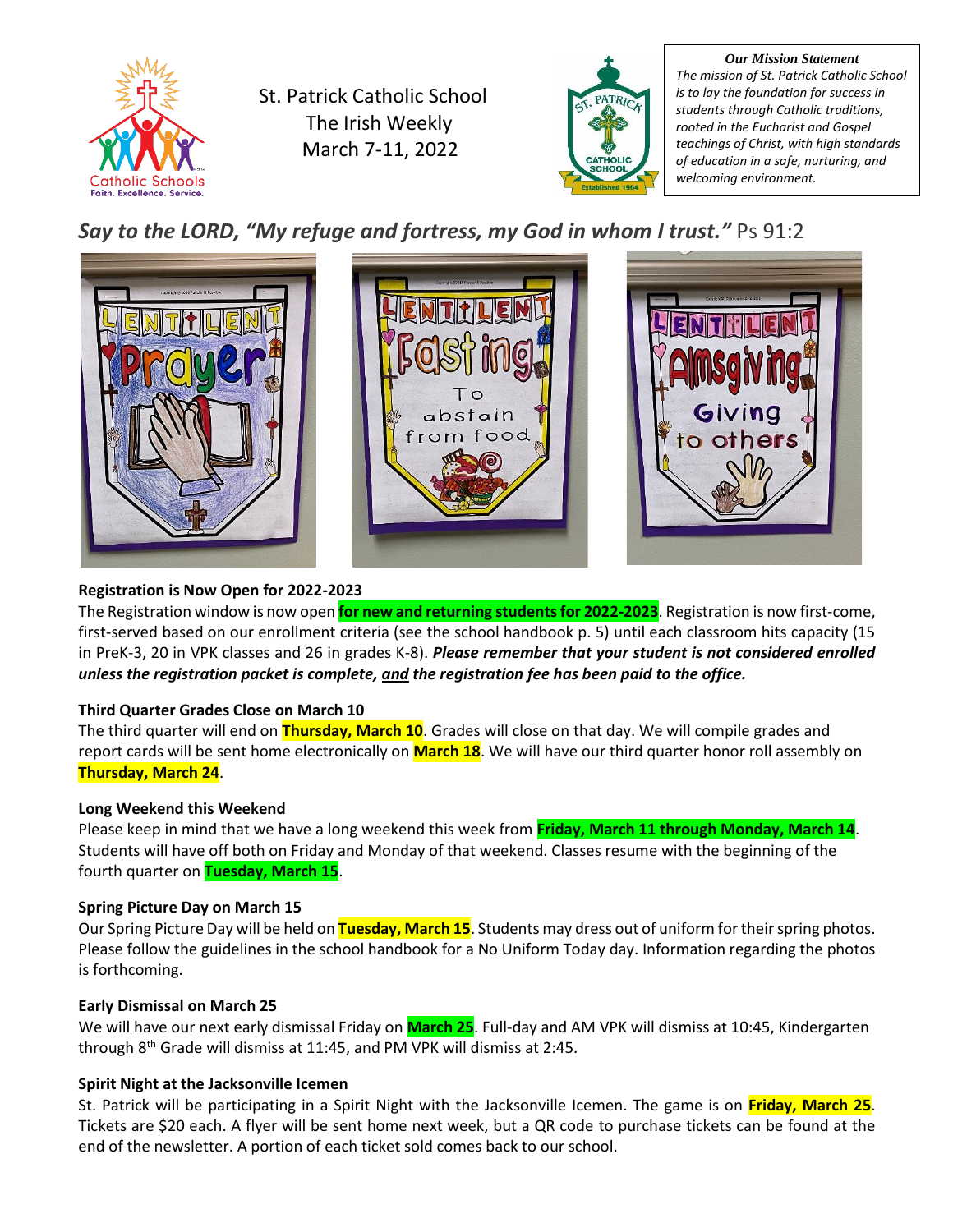

St. Patrick Catholic School The Irish Weekly March 7-11, 2022



*Our Mission Statement The mission of St. Patrick Catholic School is to lay the foundation for success in students through Catholic traditions, rooted in the Eucharist and Gospel teachings of Christ, with high standards of education in a safe, nurturing, and welcoming environment.*

*Say to the LORD, "My refuge and fortress, my God in whom I trust."* Ps 91:2



# **Registration is Now Open for 2022-2023**

The Registration window is now open **for new and returning students for 2022-2023**. Registration is now first-come, first-served based on our enrollment criteria (see the school handbook p. 5) until each classroom hits capacity (15 in PreK-3, 20 in VPK classes and 26 in grades K-8). *Please remember that your student is not considered enrolled unless the registration packet is complete, and the registration fee has been paid to the office.*

# **Third Quarter Grades Close on March 10**

The third quarter will end on **Thursday, March 10**. Grades will close on that day. We will compile grades and report cards will be sent home electronically on **March 18**. We will have our third quarter honor roll assembly on **Thursday, March 24**.

# **Long Weekend this Weekend**

Please keep in mind that we have a long weekend this week from **Friday, March 11 through Monday, March 14**. Students will have off both on Friday and Monday of that weekend. Classes resume with the beginning of the fourth quarter on **Tuesday, March 15**.

# **Spring Picture Day on March 15**

Our Spring Picture Day will be held on **Tuesday, March 15**. Students may dress out of uniform for their spring photos. Please follow the guidelines in the school handbook for a No Uniform Today day. Information regarding the photos is forthcoming.

# **Early Dismissal on March 25**

We will have our next early dismissal Friday on **March 25**. Full-day and AM VPK will dismiss at 10:45, Kindergarten through 8<sup>th</sup> Grade will dismiss at 11:45, and PM VPK will dismiss at 2:45.

# **Spirit Night at the Jacksonville Icemen**

St. Patrick will be participating in a Spirit Night with the Jacksonville Icemen. The game is on **Friday, March 25**. Tickets are \$20 each. A flyer will be sent home next week, but a QR code to purchase tickets can be found at the end of the newsletter. A portion of each ticket sold comes back to our school.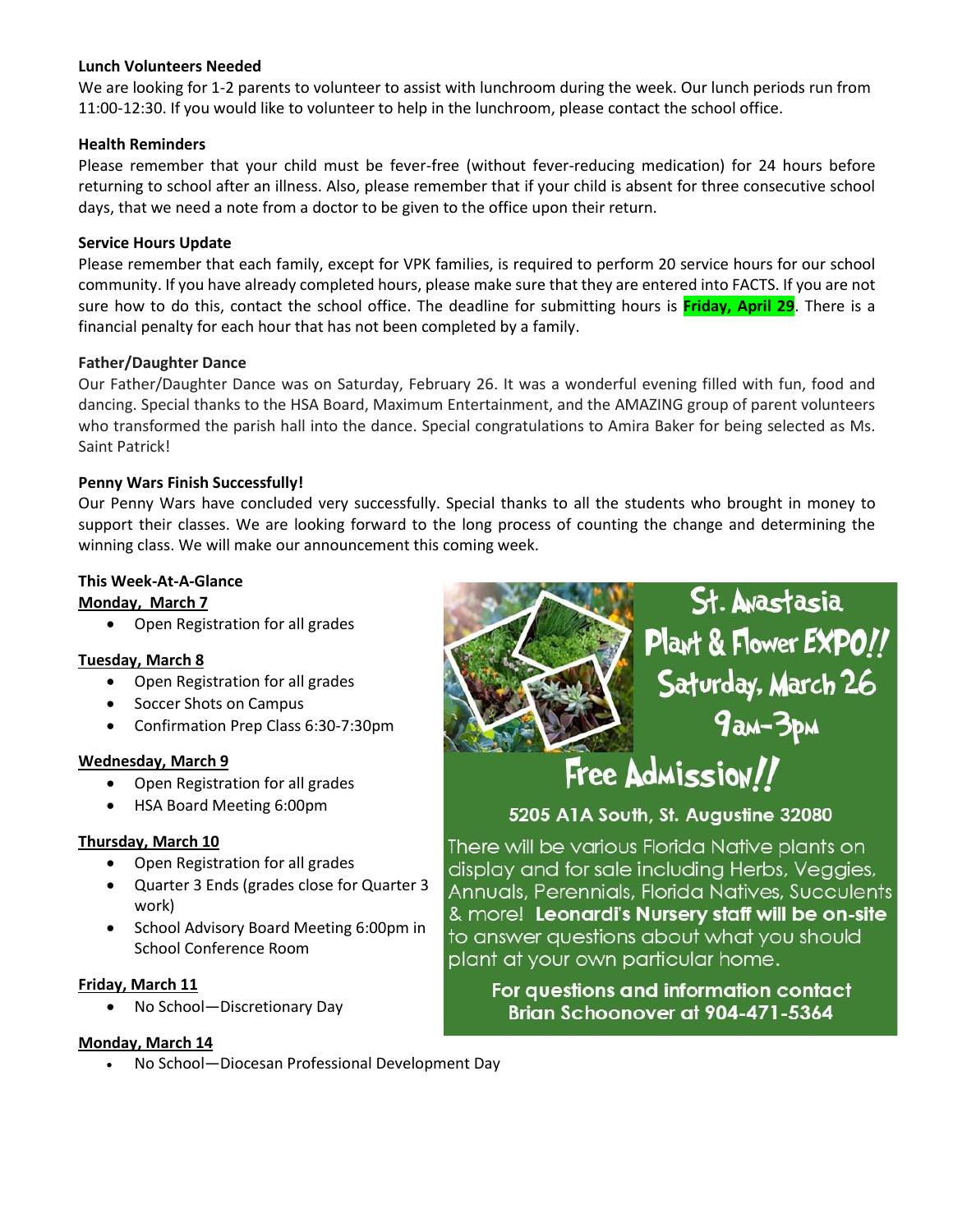# **Lunch Volunteers Needed**

We are looking for 1-2 parents to volunteer to assist with lunchroom during the week. Our lunch periods run from 11:00-12:30. If you would like to volunteer to help in the lunchroom, please contact the school office.

### **Health Reminders**

Please remember that your child must be fever-free (without fever-reducing medication) for 24 hours before returning to school after an illness. Also, please remember that if your child is absent for three consecutive school days, that we need a note from a doctor to be given to the office upon their return.

### **Service Hours Update**

Please remember that each family, except for VPK families, is required to perform 20 service hours for our school community. If you have already completed hours, please make sure that they are entered into FACTS. If you are not sure how to do this, contact the school office. The deadline for submitting hours is **Friday, April 29**. There is a financial penalty for each hour that has not been completed by a family.

#### **Father/Daughter Dance**

Our Father/Daughter Dance was on Saturday, February 26. It was a wonderful evening filled with fun, food and dancing. Special thanks to the HSA Board, Maximum Entertainment, and the AMAZING group of parent volunteers who transformed the parish hall into the dance. Special congratulations to Amira Baker for being selected as Ms. Saint Patrick!

# **Penny Wars Finish Successfully!**

Our Penny Wars have concluded very successfully. Special thanks to all the students who brought in money to support their classes. We are looking forward to the long process of counting the change and determining the winning class. We will make our announcement this coming week.

# **This Week-At-A-Glance**

#### **Monday, March 7**

• Open Registration for all grades

# **Tuesday, March 8**

- Open Registration for all grades
- Soccer Shots on Campus
- Confirmation Prep Class 6:30-7:30pm

# **Wednesday, March 9**

- Open Registration for all grades
- HSA Board Meeting 6:00pm

# **Thursday, March 10**

- Open Registration for all grades
- Quarter 3 Ends (grades close for Quarter 3 work)
- School Advisory Board Meeting 6:00pm in School Conference Room

# **Friday, March 11**

• No School—Discretionary Day

# **Monday, March 14**

• No School—Diocesan Professional Development Day



Annuals, Perennials, Florida Natives, Succulents & more! Leonardi's Nursery staff will be on-site to answer questions about what you should plant at your own particular home.

For questions and information contact Brian Schoonover at 904-471-5364